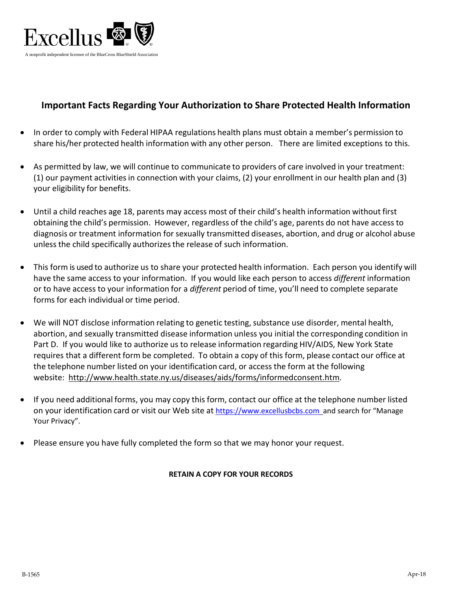

## **Important Facts Regarding Your Authorization to Share Protected Health Information**

- In order to comply with Federal HIPAA regulations health plans must obtain a member's permission to share his/her protected health information with any other person. There are limited exceptions to this.
- As permitted by law, we will continue to communicate to providers of care involved in your treatment: (1) our payment activitiesin connection with your claims, (2) your enrollment in our health plan and (3) your eligibility for benefits.
- Until a child reaches age 18, parents may access most of their child's health information without first obtaining the child's permission. However, regardless of the child's age, parents do not have access to diagnosis or treatment information for sexually transmitted diseases, abortion, and drug or alcohol abuse unless the child specifically authorizes the release of such information.
- This form is used to authorize us to share your protected health information. Each person you identify will have the same access to your information. If you would like each person to access *different* information or to have access to your information for a *different* period of time, you'll need to complete separate forms for each individual or time period.
- We will NOT disclose information relating to genetic testing, substance use disorder, mental health, abortion, and sexually transmitted disease information unless you initial the corresponding condition in Part D. If you would like to authorize us to release information regarding HIV/AIDS, New York State requires that a different form be completed. To obtain a copy of this form, please contact our office at the telephone number listed on your identification card, or access the form at the following website: [http://www.health.state.ny.us/diseases/aids/forms/informedconsent.htm.](http://www.health.state.ny.us/diseases/aids/forms/informedconsent.htm)
- If you need additional forms, you may copy this form, contact our office at the telephone number listed on your identification card or visit our Web site at [https://www.excellusbcbs.com](https://www.excellusbcbs.com/) and search for "Manage Your Privacy".
- Please ensure you have fully completed the form so that we may honor your request.

#### **RETAIN A COPY FOR YOUR RECORDS**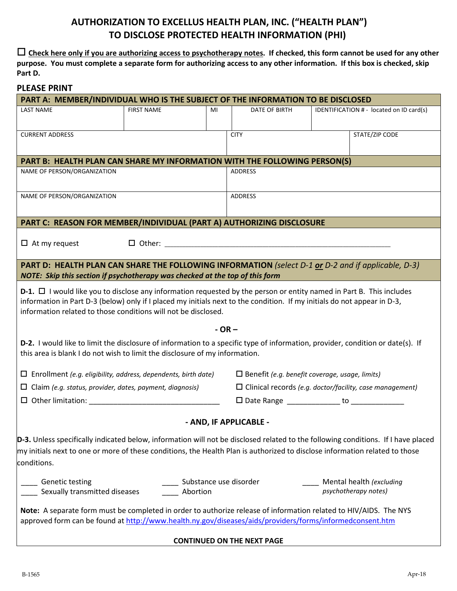# **AUTHORIZATION TO EXCELLUS HEALTH PLAN, INC. ("HEALTH PLAN") TO DISCLOSE PROTECTED HEALTH INFORMATION (PHI)**

 **Check here only if you are authorizing access to psychotherapy notes. If checked, this form cannot be used for any other purpose. You must complete a separate form for authorizing access to any other information. If this box is checked, skip Part D.** 

#### **PLEASE PRINT**

| PART A: MEMBER/INDIVIDUAL WHO IS THE SUBJECT OF THE INFORMATION TO BE DISCLOSED                                                                                                                                                                                                                                                |                   |         |                                                                 |  |                                                  |  |  |
|--------------------------------------------------------------------------------------------------------------------------------------------------------------------------------------------------------------------------------------------------------------------------------------------------------------------------------|-------------------|---------|-----------------------------------------------------------------|--|--------------------------------------------------|--|--|
| <b>LAST NAME</b>                                                                                                                                                                                                                                                                                                               | <b>FIRST NAME</b> | MI      | DATE OF BIRTH                                                   |  | IDENTIFICATION # - located on ID card(s)         |  |  |
|                                                                                                                                                                                                                                                                                                                                |                   |         |                                                                 |  |                                                  |  |  |
| <b>CURRENT ADDRESS</b>                                                                                                                                                                                                                                                                                                         |                   |         | <b>CITY</b>                                                     |  | STATE/ZIP CODE                                   |  |  |
| PART B: HEALTH PLAN CAN SHARE MY INFORMATION WITH THE FOLLOWING PERSON(S)                                                                                                                                                                                                                                                      |                   |         |                                                                 |  |                                                  |  |  |
| NAME OF PERSON/ORGANIZATION                                                                                                                                                                                                                                                                                                    |                   |         | <b>ADDRESS</b>                                                  |  |                                                  |  |  |
| NAME OF PERSON/ORGANIZATION                                                                                                                                                                                                                                                                                                    |                   |         | <b>ADDRESS</b>                                                  |  |                                                  |  |  |
| PART C: REASON FOR MEMBER/INDIVIDUAL (PART A) AUTHORIZING DISCLOSURE                                                                                                                                                                                                                                                           |                   |         |                                                                 |  |                                                  |  |  |
| $\Box$ At my request                                                                                                                                                                                                                                                                                                           |                   |         |                                                                 |  |                                                  |  |  |
| PART D: HEALTH PLAN CAN SHARE THE FOLLOWING INFORMATION (select D-1 or D-2 and if applicable, D-3)<br>NOTE: Skip this section if psychotherapy was checked at the top of this form                                                                                                                                             |                   |         |                                                                 |  |                                                  |  |  |
| <b>D-1.</b> $\Box$ I would like you to disclose any information requested by the person or entity named in Part B. This includes<br>information in Part D-3 (below) only if I placed my initials next to the condition. If my initials do not appear in D-3,<br>information related to those conditions will not be disclosed. |                   |         |                                                                 |  |                                                  |  |  |
|                                                                                                                                                                                                                                                                                                                                |                   | $-OR -$ |                                                                 |  |                                                  |  |  |
| D-2. I would like to limit the disclosure of information to a specific type of information, provider, condition or date(s). If<br>this area is blank I do not wish to limit the disclosure of my information.                                                                                                                  |                   |         |                                                                 |  |                                                  |  |  |
| $\Box$ Enrollment (e.g. eligibility, address, dependents, birth date)                                                                                                                                                                                                                                                          |                   |         | $\square$ Benefit (e.g. benefit coverage, usage, limits)        |  |                                                  |  |  |
| $\Box$ Claim (e.g. status, provider, dates, payment, diagnosis)                                                                                                                                                                                                                                                                |                   |         | $\Box$ Clinical records (e.g. doctor/facility, case management) |  |                                                  |  |  |
| $\Box$ Other limitation:                                                                                                                                                                                                                                                                                                       |                   |         |                                                                 |  |                                                  |  |  |
|                                                                                                                                                                                                                                                                                                                                |                   |         | - AND, IF APPLICABLE -                                          |  |                                                  |  |  |
| D-3. Unless specifically indicated below, information will not be disclosed related to the following conditions. If I have placed<br>my initials next to one or more of these conditions, the Health Plan is authorized to disclose information related to those<br>conditions.                                                |                   |         |                                                                 |  |                                                  |  |  |
| <b>Genetic testing</b><br>Sexually transmitted diseases                                                                                                                                                                                                                                                                        | Abortion          |         | Substance use disorder                                          |  | Mental health (excluding<br>psychotherapy notes) |  |  |
| Note: A separate form must be completed in order to authorize release of information related to HIV/AIDS. The NYS<br>approved form can be found at http://www.health.ny.gov/diseases/aids/providers/forms/informedconsent.htm                                                                                                  |                   |         |                                                                 |  |                                                  |  |  |
|                                                                                                                                                                                                                                                                                                                                |                   |         | <b>CONTINUED ON THE NEXT PAGE</b>                               |  |                                                  |  |  |
|                                                                                                                                                                                                                                                                                                                                |                   |         |                                                                 |  |                                                  |  |  |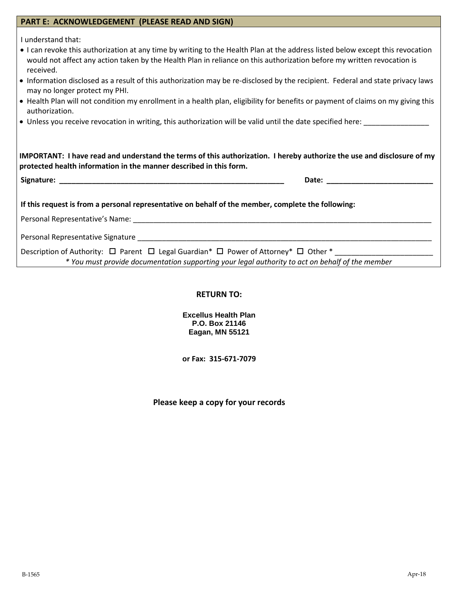|  | PART E: ACKNOWLEDGEMENT (PLEASE READ AND SIGN) |
|--|------------------------------------------------|
|  |                                                |

I understand that:

- I can revoke this authorization at any time by writing to the Health Plan at the address listed below except this revocation would not affect any action taken by the Health Plan in reliance on this authorization before my written revocation is received.
- Information disclosed as a result of this authorization may be re-disclosed by the recipient. Federal and state privacy laws may no longer protect my PHI.
- Health Plan will not condition my enrollment in a health plan, eligibility for benefits or payment of claims on my giving this authorization.
- Unless you receive revocation in writing, this authorization will be valid until the date specified here:

**IMPORTANT: I have read and understand the terms of this authorization. I hereby authorize the use and disclosure of my protected health information in the manner described in this form.** 

**Signature: \_\_\_\_\_\_\_\_\_\_\_\_\_\_\_\_\_\_\_\_\_\_\_\_\_\_\_\_\_\_\_\_\_\_\_\_\_\_\_\_\_\_\_\_\_\_\_\_\_\_\_\_\_\_\_ Date: \_\_\_\_\_\_\_\_\_\_\_\_\_\_\_\_\_\_\_\_\_\_\_\_\_\_**

**If this request is from a personal representative on behalf of the member, complete the following:**

Personal Representative's Name: **Manual Serverse and Serverse** Personal Representative's Name:

Personal Representative Signature \_\_\_\_\_\_\_\_\_\_\_\_\_\_\_\_\_\_\_\_\_\_\_\_\_\_\_\_\_\_\_\_\_\_\_\_\_\_\_\_\_\_\_\_\_\_\_\_\_\_\_\_\_\_\_\_\_\_\_\_\_\_\_\_\_\_\_\_\_\_\_\_

Description of Authority:  $\Box$  Parent  $\Box$  Legal Guardian\*  $\Box$  Power of Attorney\*  $\Box$  Other \* *\* You must provide documentation supporting your legal authority to act on behalf of the member*

#### **RETURN TO:**

**Excellus Health Plan P.O. Box 21146 Eagan, MN 55121** 

**or Fax: 315-671-7079**

**Please keep a copy for your records**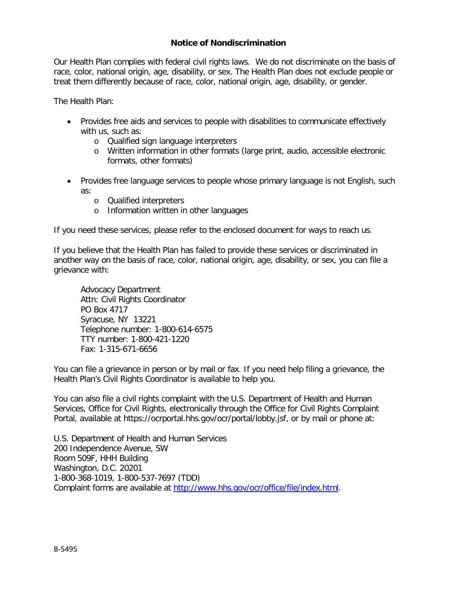### **Notice of Nondiscrimination**

Our Health Plan complies with federal civil rights laws. We do not discriminate on the basis of race, color, national origin, age, disability, or sex. The Health Plan does not exclude people or treat them differently because of race, color, national origin, age, disability, or gender.

The Health Plan:

- Provides free aids and services to people with disabilities to communicate effectively with us, such as:
	- o Qualified sign language interpreters
	- o Written information in other formats (large print, audio, accessible electronic formats, other formats)
- Provides free language services to people whose primary language is not English, such as:
	- o Qualified interpreters
	- o Information written in other languages

If you need these services, please refer to the enclosed document for ways to reach us.

If you believe that the Health Plan has failed to provide these services or discriminated in another way on the basis of race, color, national origin, age, disability, or sex, you can file a grievance with:

Advocacy Department Attn: Civil Rights Coordinator PO Box 4717 Syracuse, NY 13221 Telephone number: 1-800-614-6575 TTY number: 1-800-421-1220 Fax: 1-315-671-6656

You can file a grievance in person or by mail or fax. If you need help filing a grievance, the Health Plan's Civil Rights Coordinator is available to help you.

You can also file a civil rights complaint with the U.S. Department of Health and Human Services, Office for Civil Rights, electronically through the Office for Civil Rights Complaint Portal, available at<https://ocrportal.hhs.gov/ocr/portal/lobby.jsf>, or by mail or phone at:

U.S. Department of Health and Human Services 200 Independence Avenue, SW Room 509F, HHH Building Washington, D.C. 20201 1-800-368-1019, 1-800-537-7697 (TDD) Complaint forms are available at [http://www.hhs.gov/ocr/office/file/index.html.](http://www.hhs.gov/ocr/office/file/index.html)